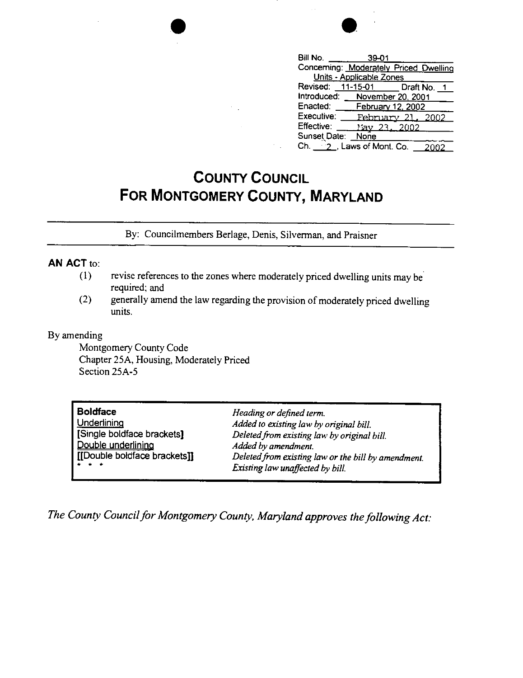| $\overline{\mathcal{A}}$ | $\sim$ 10 $^\circ$ | ٠<br>٠<br>٠. |
|--------------------------|--------------------|--------------|
| ٠                        | <b>Rill No.</b>    | จด           |

| Bill No. <b>Example</b>                | 39-01                    |  |  |  |  |
|----------------------------------------|--------------------------|--|--|--|--|
| Concerning: Moderately Priced Dwelling |                          |  |  |  |  |
| Units - Applicable Zones               |                          |  |  |  |  |
| Revised: 11-15-01 Draft No. 1          |                          |  |  |  |  |
| Introduced: November 20, 2001          |                          |  |  |  |  |
| Enacted: February 12, 2002             |                          |  |  |  |  |
| Executive:                             | <u>February 21, 2002</u> |  |  |  |  |
| Effective:                             | May 23, 2002             |  |  |  |  |
| Sunset Date: None                      |                          |  |  |  |  |
| Ch. $-2$ , Laws of Mont. Co.           |                          |  |  |  |  |

## **COUNTY COUNCIL FOR MONTGOMERY COUNTY, MARYLAND**

By: Councilmembers Berlage, Denis, Silverman, and Praisner

## **AN ACT** to:

- (1) revise references to the zones where moderately priced dwelling units may be required; and
- (2) generally amend the law regarding the provision of moderately priced dwelling units.

## By amending

Montgomery County Code Chapter 25A, Housing, Moderately Priced Section 25A-5

| <b>Boldface</b>                                                                                                                                      | Heading or defined term.                            |
|------------------------------------------------------------------------------------------------------------------------------------------------------|-----------------------------------------------------|
| Underlining                                                                                                                                          | Added to existing law by original bill.             |
| [Single boldface brackets]                                                                                                                           | Deleted from existing law by original bill.         |
| Double underlining                                                                                                                                   | Added by amendment.                                 |
| [[Double boldface brackets]]                                                                                                                         | Deleted from existing law or the bill by amendment. |
| $\frac{1}{2} \left( \frac{1}{2} \right) \left( \frac{1}{2} \right) \left( \frac{1}{2} \right) \left( \frac{1}{2} \right) \left( \frac{1}{2} \right)$ | Existing law unaffected by bill.                    |

*The County Council for Montgomery County, Maryland approves the following Act:*